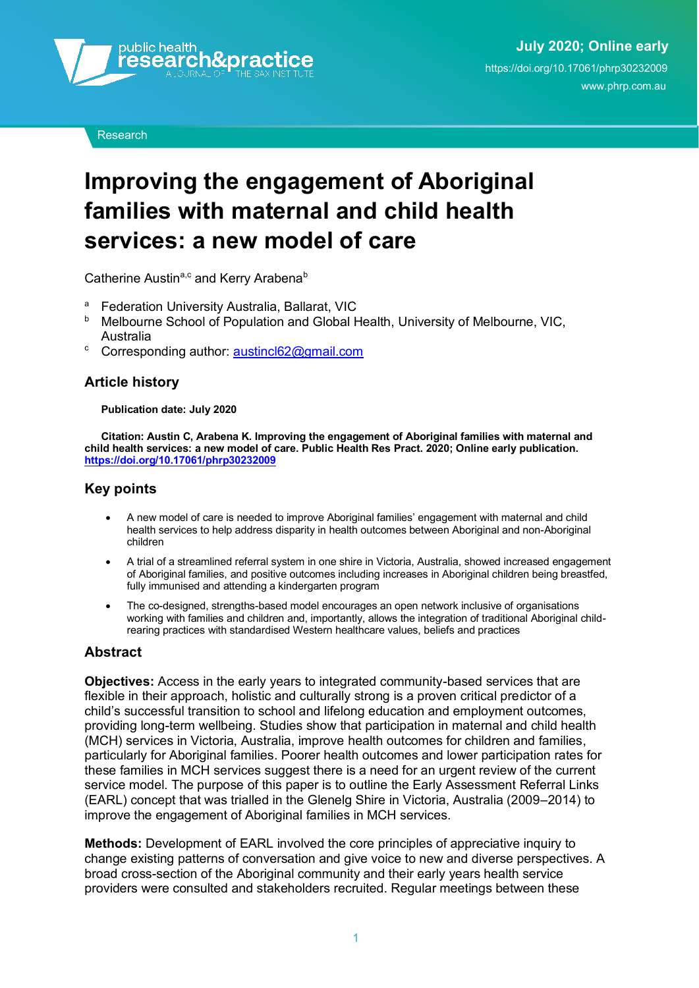

**Research** 

# **Improving the engagement of Aboriginal families with maternal and child health services: a new model of care**

Catherine Austin<sup>a,c</sup> and Kerry Arabena<sup>b</sup>

- <sup>a</sup> Federation University Australia, Ballarat, VIC<br>**b** Melbourne School of Population and Global H
- <sup>b</sup> Melbourne School of Population and Global Health, University of Melbourne, VIC, Australia
- <sup>c</sup> Corresponding author: austincl62@gmail.com

#### **Article history**

#### **Publication date: July 2020**

**Citation: Austin C, Arabena K. Improving the engagement of Aboriginal families with maternal and child health services: a new model of care. Public Health Res Pract. 2020; Online early publication. <https://doi.org/10.17061/phrp30232009>**

#### **Key points**

- A new model of care is needed to improve Aboriginal families' engagement with maternal and child health services to help address disparity in health outcomes between Aboriginal and non-Aboriginal children
- A trial of a streamlined referral system in one shire in Victoria, Australia, showed increased engagement of Aboriginal families, and positive outcomes including increases in Aboriginal children being breastfed, fully immunised and attending a kindergarten program
- The co-designed, strengths-based model encourages an open network inclusive of organisations working with families and children and, importantly, allows the integration of traditional Aboriginal childrearing practices with standardised Western healthcare values, beliefs and practices

#### **Abstract**

**Objectives:** Access in the early years to integrated community-based services that are flexible in their approach, holistic and culturally strong is a proven critical predictor of a child's successful transition to school and lifelong education and employment outcomes, providing long-term wellbeing. Studies show that participation in maternal and child health (MCH) services in Victoria, Australia, improve health outcomes for children and families, particularly for Aboriginal families. Poorer health outcomes and lower participation rates for these families in MCH services suggest there is a need for an urgent review of the current service model. The purpose of this paper is to outline the Early Assessment Referral Links (EARL) concept that was trialled in the Glenelg Shire in Victoria, Australia (2009–2014) to improve the engagement of Aboriginal families in MCH services.

**Methods:** Development of EARL involved the core principles of appreciative inquiry to change existing patterns of conversation and give voice to new and diverse perspectives. A broad cross-section of the Aboriginal community and their early years health service providers were consulted and stakeholders recruited. Regular meetings between these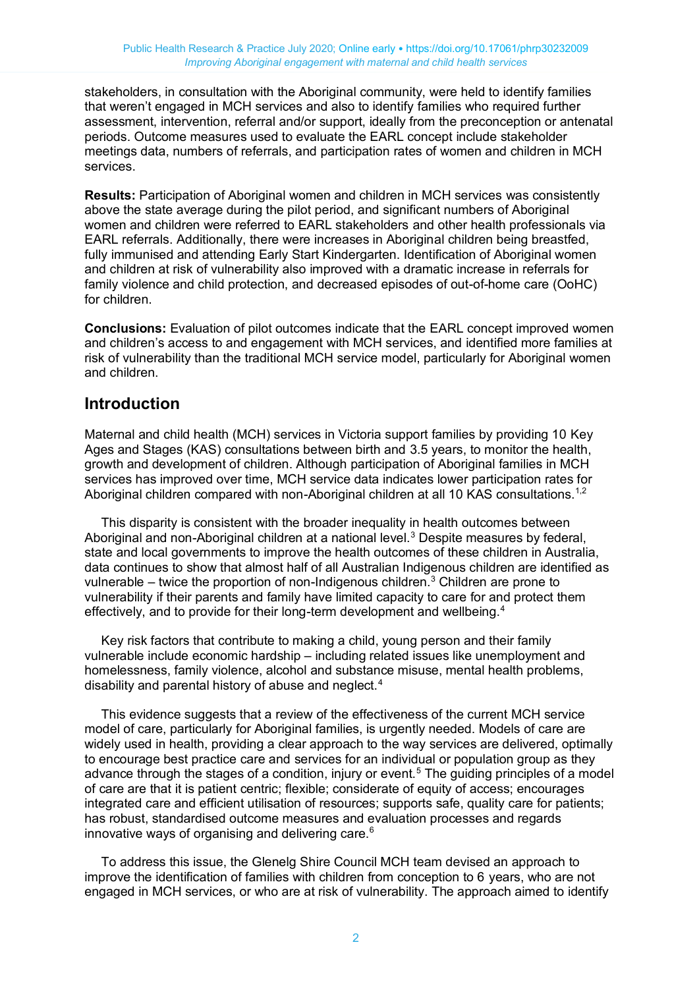stakeholders, in consultation with the Aboriginal community, were held to identify families that weren't engaged in MCH services and also to identify families who required further assessment, intervention, referral and/or support, ideally from the preconception or antenatal periods. Outcome measures used to evaluate the EARL concept include stakeholder meetings data, numbers of referrals, and participation rates of women and children in MCH services.

**Results:** Participation of Aboriginal women and children in MCH services was consistently above the state average during the pilot period, and significant numbers of Aboriginal women and children were referred to EARL stakeholders and other health professionals via EARL referrals. Additionally, there were increases in Aboriginal children being breastfed, fully immunised and attending Early Start Kindergarten. Identification of Aboriginal women and children at risk of vulnerability also improved with a dramatic increase in referrals for family violence and child protection, and decreased episodes of out-of-home care (OoHC) for children.

**Conclusions:** Evaluation of pilot outcomes indicate that the EARL concept improved women and children's access to and engagement with MCH services, and identified more families at risk of vulnerability than the traditional MCH service model, particularly for Aboriginal women and children.

## **Introduction**

Maternal and child health (MCH) services in Victoria support families by providing 10 Key Ages and Stages (KAS) consultations between birth and 3.5 years, to monitor the health, growth and development of children. Although participation of Aboriginal families in MCH services has improved over time, MCH service data indicates lower participation rates for Aboriginal children compared with non-Aboriginal children at all 10 KAS consultations.<sup>1,2</sup>

This disparity is consistent with the broader inequality in health outcomes between Aboriginal and non-Aboriginal children at a national level.<sup>3</sup> Despite measures by federal, state and local governments to improve the health outcomes of these children in Australia, data continues to show that almost half of all Australian Indigenous children are identified as vulnerable – twice the proportion of non-Indigenous children.<sup>3</sup> Children are prone to vulnerability if their parents and family have limited capacity to care for and protect them effectively, and to provide for their long-term development and wellbeing.<sup>4</sup>

Key risk factors that contribute to making a child, young person and their family vulnerable include economic hardship – including related issues like unemployment and homelessness, family violence, alcohol and substance misuse, mental health problems, disability and parental history of abuse and neglect.<sup>4</sup>

This evidence suggests that a review of the effectiveness of the current MCH service model of care, particularly for Aboriginal families, is urgently needed. Models of care are widely used in health, providing a clear approach to the way services are delivered, optimally to encourage best practice care and services for an individual or population group as they advance through the stages of a condition, injury or event.<sup>5</sup> The quiding principles of a model of care are that it is patient centric; flexible; considerate of equity of access; encourages integrated care and efficient utilisation of resources; supports safe, quality care for patients; has robust, standardised outcome measures and evaluation processes and regards innovative ways of organising and delivering care.<sup>6</sup>

To address this issue, the Glenelg Shire Council MCH team devised an approach to improve the identification of families with children from conception to 6 years, who are not engaged in MCH services, or who are at risk of vulnerability. The approach aimed to identify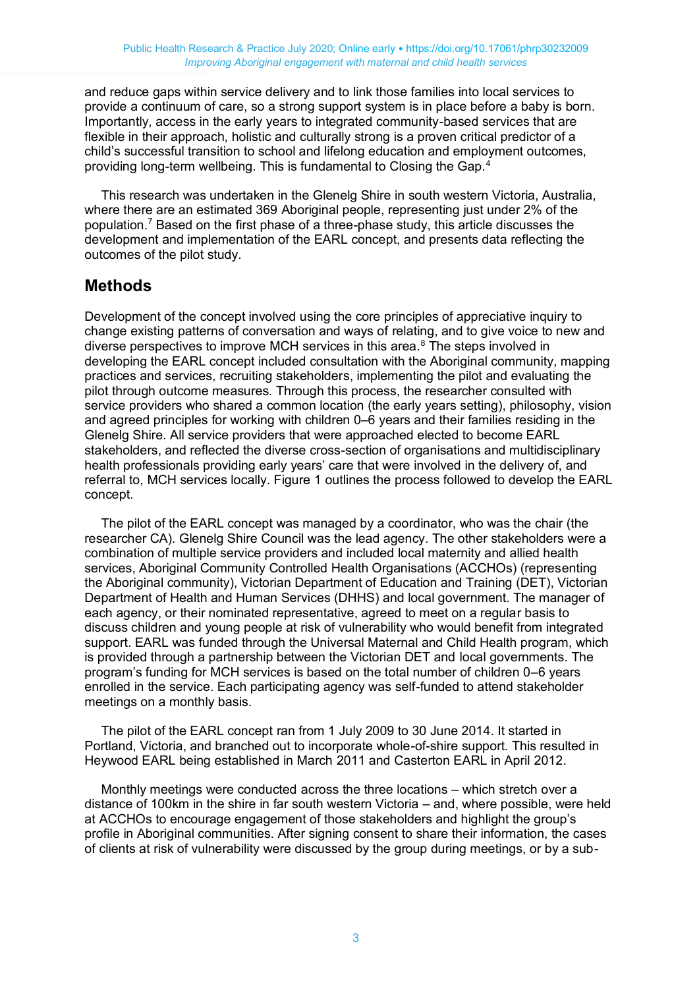and reduce gaps within service delivery and to link those families into local services to provide a continuum of care, so a strong support system is in place before a baby is born. Importantly, access in the early years to integrated community-based services that are flexible in their approach, holistic and culturally strong is a proven critical predictor of a child's successful transition to school and lifelong education and employment outcomes, providing long-term wellbeing. This is fundamental to Closing the Gap.<sup>4</sup>

This research was undertaken in the Glenelg Shire in south western Victoria, Australia, where there are an estimated 369 Aboriginal people, representing just under 2% of the population.<sup>7</sup> Based on the first phase of a three-phase study, this article discusses the development and implementation of the EARL concept, and presents data reflecting the outcomes of the pilot study.

## **Methods**

Development of the concept involved using the core principles of appreciative inquiry to change existing patterns of conversation and ways of relating, and to give voice to new and diverse perspectives to improve MCH services in this area.<sup>8</sup> The steps involved in developing the EARL concept included consultation with the Aboriginal community, mapping practices and services, recruiting stakeholders, implementing the pilot and evaluating the pilot through outcome measures. Through this process, the researcher consulted with service providers who shared a common location (the early years setting), philosophy, vision and agreed principles for working with children 0–6 years and their families residing in the Glenelg Shire. All service providers that were approached elected to become EARL stakeholders, and reflected the diverse cross-section of organisations and multidisciplinary health professionals providing early years' care that were involved in the delivery of, and referral to, MCH services locally. Figure 1 outlines the process followed to develop the EARL concept.

The pilot of the EARL concept was managed by a coordinator, who was the chair (the researcher CA). Glenelg Shire Council was the lead agency. The other stakeholders were a combination of multiple service providers and included local maternity and allied health services, Aboriginal Community Controlled Health Organisations (ACCHOs) (representing the Aboriginal community), Victorian Department of Education and Training (DET), Victorian Department of Health and Human Services (DHHS) and local government. The manager of each agency, or their nominated representative, agreed to meet on a regular basis to discuss children and young people at risk of vulnerability who would benefit from integrated support. EARL was funded through the Universal Maternal and Child Health program, which is provided through a partnership between the Victorian DET and local governments. The program's funding for MCH services is based on the total number of children 0–6 years enrolled in the service. Each participating agency was self-funded to attend stakeholder meetings on a monthly basis.

The pilot of the EARL concept ran from 1 July 2009 to 30 June 2014. It started in Portland, Victoria, and branched out to incorporate whole-of-shire support. This resulted in Heywood EARL being established in March 2011 and Casterton EARL in April 2012.

Monthly meetings were conducted across the three locations – which stretch over a distance of 100km in the shire in far south western Victoria – and, where possible, were held at ACCHOs to encourage engagement of those stakeholders and highlight the group's profile in Aboriginal communities. After signing consent to share their information, the cases of clients at risk of vulnerability were discussed by the group during meetings, or by a sub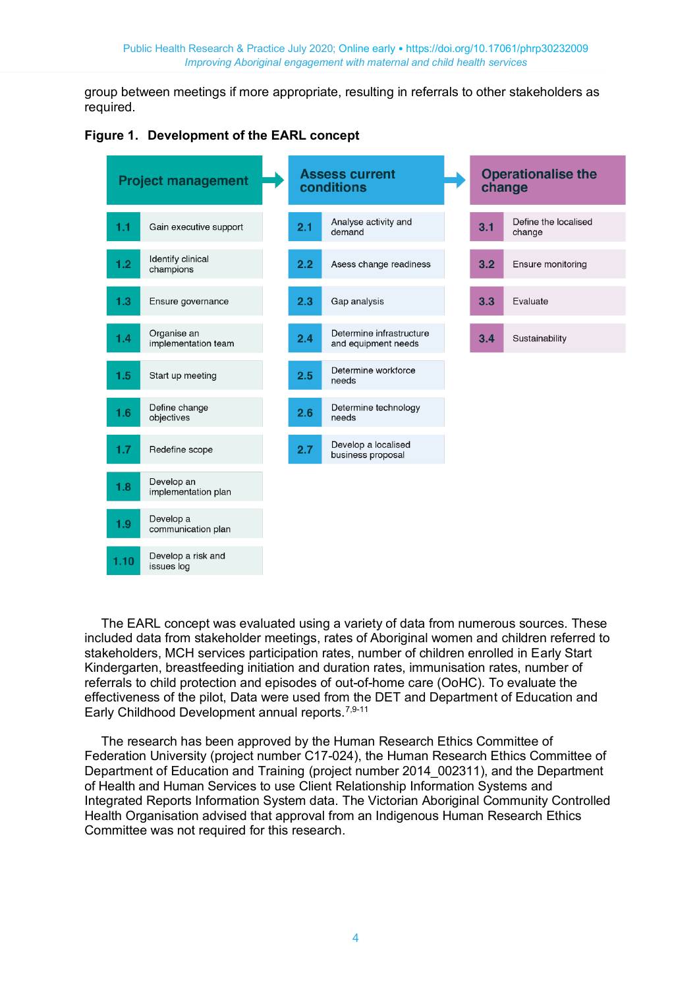group between meetings if more appropriate, resulting in referrals to other stakeholders as required.





The EARL concept was evaluated using a variety of data from numerous sources. These included data from stakeholder meetings, rates of Aboriginal women and children referred to stakeholders, MCH services participation rates, number of children enrolled in Early Start Kindergarten, breastfeeding initiation and duration rates, immunisation rates, number of referrals to child protection and episodes of out-of-home care (OoHC). To evaluate the effectiveness of the pilot, Data were used from the DET and Department of Education and Early Childhood Development annual reports.<sup>7,9-11</sup>

The research has been approved by the Human Research Ethics Committee of Federation University (project number C17-024), the Human Research Ethics Committee of Department of Education and Training (project number 2014\_002311), and the Department of Health and Human Services to use Client Relationship Information Systems and Integrated Reports Information System data. The Victorian Aboriginal Community Controlled Health Organisation advised that approval from an Indigenous Human Research Ethics Committee was not required for this research.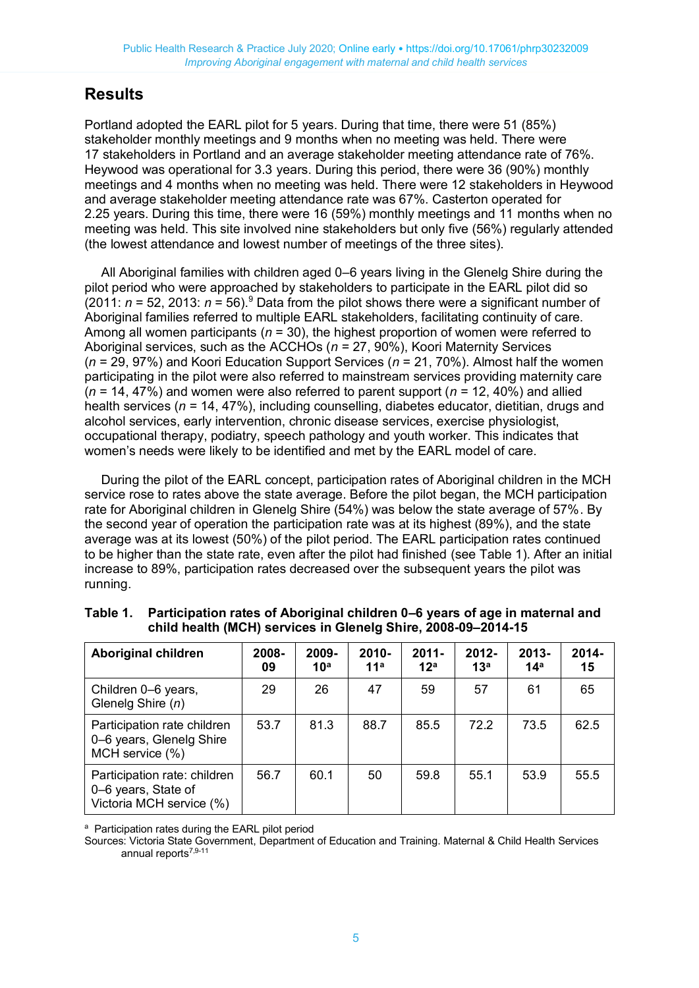# **Results**

Portland adopted the EARL pilot for 5 years. During that time, there were 51 (85%) stakeholder monthly meetings and 9 months when no meeting was held. There were 17 stakeholders in Portland and an average stakeholder meeting attendance rate of 76%. Heywood was operational for 3.3 years. During this period, there were 36 (90%) monthly meetings and 4 months when no meeting was held. There were 12 stakeholders in Heywood and average stakeholder meeting attendance rate was 67%. Casterton operated for 2.25 years. During this time, there were 16 (59%) monthly meetings and 11 months when no meeting was held. This site involved nine stakeholders but only five (56%) regularly attended (the lowest attendance and lowest number of meetings of the three sites).

All Aboriginal families with children aged 0–6 years living in the Glenelg Shire during the pilot period who were approached by stakeholders to participate in the EARL pilot did so (2011:  $n = 52$ , 2013:  $n = 56$ ).<sup>9</sup> Data from the pilot shows there were a significant number of Aboriginal families referred to multiple EARL stakeholders, facilitating continuity of care. Among all women participants (*n* = 30), the highest proportion of women were referred to Aboriginal services, such as the ACCHOs (*n* = 27, 90%), Koori Maternity Services (*n* = 29, 97%) and Koori Education Support Services (*n* = 21, 70%). Almost half the women participating in the pilot were also referred to mainstream services providing maternity care (*n* = 14, 47%) and women were also referred to parent support (*n* = 12, 40%) and allied health services (*n* = 14, 47%), including counselling, diabetes educator, dietitian, drugs and alcohol services, early intervention, chronic disease services, exercise physiologist, occupational therapy, podiatry, speech pathology and youth worker. This indicates that women's needs were likely to be identified and met by the EARL model of care.

During the pilot of the EARL concept, participation rates of Aboriginal children in the MCH service rose to rates above the state average. Before the pilot began, the MCH participation rate for Aboriginal children in Glenelg Shire (54%) was below the state average of 57%. By the second year of operation the participation rate was at its highest (89%), and the state average was at its lowest (50%) of the pilot period. The EARL participation rates continued to be higher than the state rate, even after the pilot had finished (see Table 1). After an initial increase to 89%, participation rates decreased over the subsequent years the pilot was running.

| <b>Aboriginal children</b>                                                      | 2008-<br>09 | 2009-<br>10 <sup>a</sup> | $2010 -$<br>11 <sup>a</sup> | $2011 -$<br>12 <sup>a</sup> | $2012 -$<br>13 <sup>a</sup> | $2013 -$<br>14 <sup>a</sup> | $2014 -$<br>15 |
|---------------------------------------------------------------------------------|-------------|--------------------------|-----------------------------|-----------------------------|-----------------------------|-----------------------------|----------------|
| Children 0-6 years,<br>Glenelg Shire (n)                                        | 29          | 26                       | 47                          | 59                          | 57                          | 61                          | 65             |
| Participation rate children<br>0-6 years, Glenelg Shire<br>MCH service (%)      | 53.7        | 81.3                     | 88.7                        | 85.5                        | 72.2                        | 73.5                        | 62.5           |
| Participation rate: children<br>0-6 years, State of<br>Victoria MCH service (%) | 56.7        | 60.1                     | 50                          | 59.8                        | 55.1                        | 53.9                        | 55.5           |

**Table 1. Participation rates of Aboriginal children 0–6 years of age in maternal and child health (MCH) services in Glenelg Shire, 2008-09–2014-15**

a Participation rates during the EARL pilot period

Sources: Victoria State Government, Department of Education and Training. Maternal & Child Health Services annual reports7,9-11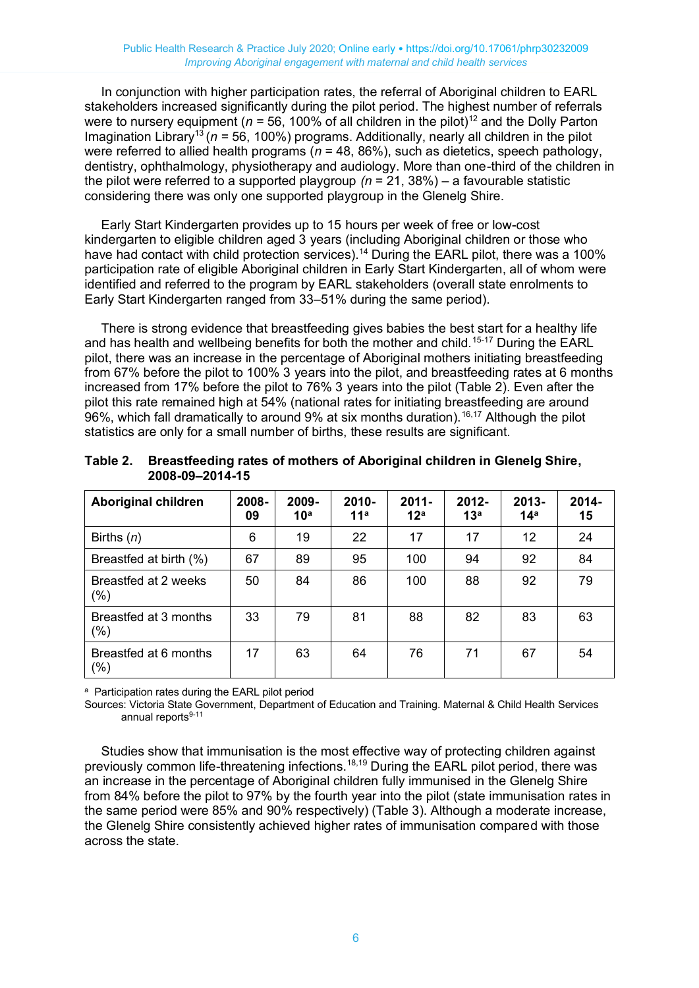In conjunction with higher participation rates, the referral of Aboriginal children to EARL stakeholders increased significantly during the pilot period. The highest number of referrals were to nursery equipment ( $n = 56$ , 100% of all children in the pilot)<sup>12</sup> and the Dolly Parton Imagination Library<sup>13</sup>(*n* = 56, 100%) programs. Additionally, nearly all children in the pilot were referred to allied health programs (*n* = 48, 86%), such as dietetics, speech pathology, dentistry, ophthalmology, physiotherapy and audiology. More than one-third of the children in the pilot were referred to a supported playgroup *(n* = 21, 38%) – a favourable statistic considering there was only one supported playgroup in the Glenelg Shire.

Early Start Kindergarten provides up to 15 hours per week of free or low-cost kindergarten to eligible children aged 3 years (including Aboriginal children or those who have had contact with child protection services).<sup>14</sup> During the EARL pilot, there was a 100% participation rate of eligible Aboriginal children in Early Start Kindergarten, all of whom were identified and referred to the program by EARL stakeholders (overall state enrolments to Early Start Kindergarten ranged from 33–51% during the same period).

There is strong evidence that breastfeeding gives babies the best start for a healthy life and has health and wellbeing benefits for both the mother and child.<sup>15-17</sup> During the EARL pilot, there was an increase in the percentage of Aboriginal mothers initiating breastfeeding from 67% before the pilot to 100% 3 years into the pilot, and breastfeeding rates at 6 months increased from 17% before the pilot to 76% 3 years into the pilot (Table 2). Even after the pilot this rate remained high at 54% (national rates for initiating breastfeeding are around 96%, which fall dramatically to around 9% at six months duration).<sup>16,17</sup> Although the pilot statistics are only for a small number of births, these results are significant.

| <b>Aboriginal children</b>   | 2008-<br>09 | 2009-<br>10 <sup>a</sup> | $2010 -$<br>11 <sup>a</sup> | $2011 -$<br>12 <sup>a</sup> | 2012-<br>13 <sup>a</sup> | $2013 -$<br>14 <sup>a</sup> | 2014-<br>15 |
|------------------------------|-------------|--------------------------|-----------------------------|-----------------------------|--------------------------|-----------------------------|-------------|
| Births $(n)$                 | 6           | 19                       | 22                          | 17                          | 17                       | 12                          | 24          |
| Breastfed at birth (%)       | 67          | 89                       | 95                          | 100                         | 94                       | 92                          | 84          |
| Breastfed at 2 weeks<br>(% ) | 50          | 84                       | 86                          | 100                         | 88                       | 92                          | 79          |
| Breastfed at 3 months<br>(%) | 33          | 79                       | 81                          | 88                          | 82                       | 83                          | 63          |
| Breastfed at 6 months<br>(%) | 17          | 63                       | 64                          | 76                          | 71                       | 67                          | 54          |

**Table 2. Breastfeeding rates of mothers of Aboriginal children in Glenelg Shire, 2008-09–2014-15**

<sup>a</sup> Participation rates during the EARL pilot period

Sources: Victoria State Government, Department of Education and Training. Maternal & Child Health Services annual reports<sup>9-11</sup>

Studies show that immunisation is the most effective way of protecting children against previously common life-threatening infections.18,19 During the EARL pilot period, there was an increase in the percentage of Aboriginal children fully immunised in the Glenelg Shire from 84% before the pilot to 97% by the fourth year into the pilot (state immunisation rates in the same period were 85% and 90% respectively) (Table 3). Although a moderate increase, the Glenelg Shire consistently achieved higher rates of immunisation compared with those across the state.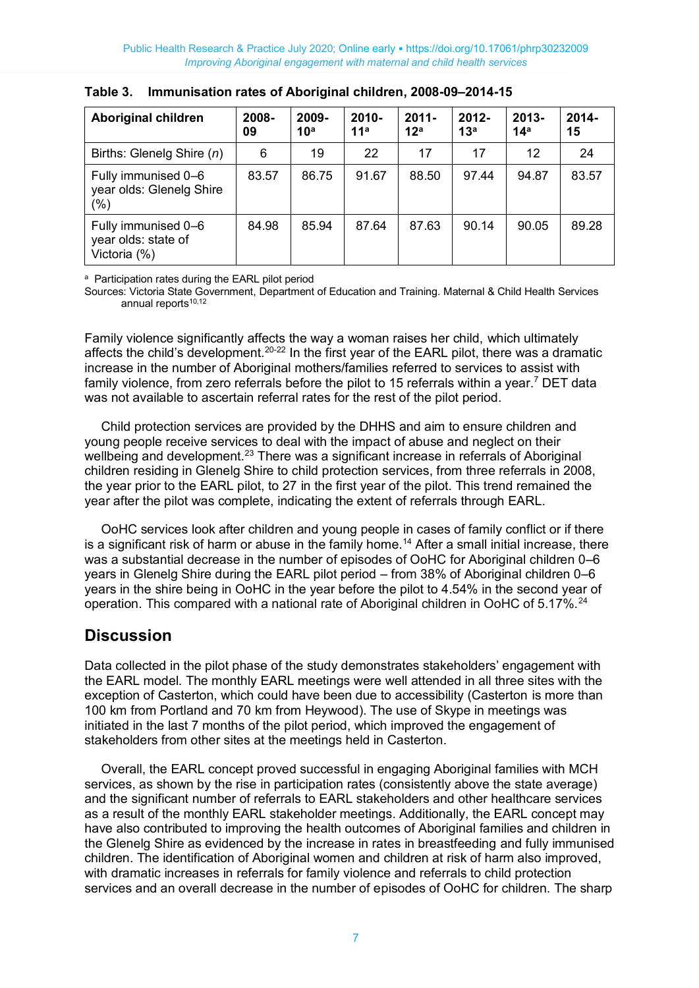| <b>Aboriginal children</b>                                 | 2008-<br>09 | 2009-<br>10 <sup>a</sup> | 2010-<br>11 <sup>a</sup> | $2011 -$<br>12 <sup>a</sup> | $2012 -$<br>13 <sup>a</sup> | $2013 -$<br>14 <sup>a</sup> | $2014 -$<br>15 |
|------------------------------------------------------------|-------------|--------------------------|--------------------------|-----------------------------|-----------------------------|-----------------------------|----------------|
| Births: Glenelg Shire (n)                                  | 6           | 19                       | 22                       | 17                          | 17                          | 12                          | 24             |
| Fully immunised 0-6<br>year olds: Glenelg Shire<br>$(\%)$  | 83.57       | 86.75                    | 91.67                    | 88.50                       | 97.44                       | 94.87                       | 83.57          |
| Fully immunised 0-6<br>year olds: state of<br>Victoria (%) | 84.98       | 85.94                    | 87.64                    | 87.63                       | 90.14                       | 90.05                       | 89.28          |

**Table 3. Immunisation rates of Aboriginal children, 2008-09–2014-15**

a Participation rates during the EARL pilot period

Sources: Victoria State Government, Department of Education and Training. Maternal & Child Health Services annual reports $10,12$ 

Family violence significantly affects the way a woman raises her child, which ultimately affects the child's development.<sup>20-22</sup> In the first year of the EARL pilot, there was a dramatic increase in the number of Aboriginal mothers/families referred to services to assist with family violence, from zero referrals before the pilot to 15 referrals within a year.<sup>7</sup> DET data was not available to ascertain referral rates for the rest of the pilot period.

Child protection services are provided by the DHHS and aim to ensure children and young people receive services to deal with the impact of abuse and neglect on their wellbeing and development.<sup>23</sup> There was a significant increase in referrals of Aboriginal children residing in Glenelg Shire to child protection services, from three referrals in 2008, the year prior to the EARL pilot, to 27 in the first year of the pilot. This trend remained the year after the pilot was complete, indicating the extent of referrals through EARL.

OoHC services look after children and young people in cases of family conflict or if there is a significant risk of harm or abuse in the family home.<sup>14</sup> After a small initial increase, there was a substantial decrease in the number of episodes of OoHC for Aboriginal children 0–6 years in Glenelg Shire during the EARL pilot period – from 38% of Aboriginal children 0–6 years in the shire being in OoHC in the year before the pilot to 4.54% in the second year of operation. This compared with a national rate of Aboriginal children in OoHC of 5.17%.<sup>24</sup>

## **Discussion**

Data collected in the pilot phase of the study demonstrates stakeholders' engagement with the EARL model. The monthly EARL meetings were well attended in all three sites with the exception of Casterton, which could have been due to accessibility (Casterton is more than 100 km from Portland and 70 km from Heywood). The use of Skype in meetings was initiated in the last 7 months of the pilot period, which improved the engagement of stakeholders from other sites at the meetings held in Casterton.

Overall, the EARL concept proved successful in engaging Aboriginal families with MCH services, as shown by the rise in participation rates (consistently above the state average) and the significant number of referrals to EARL stakeholders and other healthcare services as a result of the monthly EARL stakeholder meetings. Additionally, the EARL concept may have also contributed to improving the health outcomes of Aboriginal families and children in the Glenelg Shire as evidenced by the increase in rates in breastfeeding and fully immunised children. The identification of Aboriginal women and children at risk of harm also improved, with dramatic increases in referrals for family violence and referrals to child protection services and an overall decrease in the number of episodes of OoHC for children. The sharp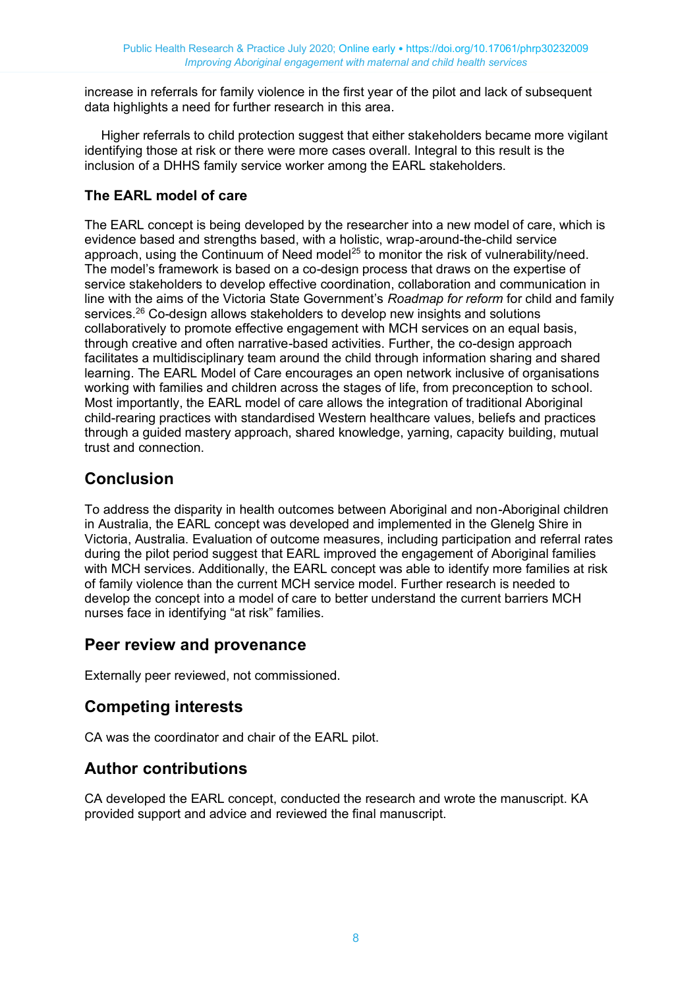increase in referrals for family violence in the first year of the pilot and lack of subsequent data highlights a need for further research in this area.

Higher referrals to child protection suggest that either stakeholders became more vigilant identifying those at risk or there were more cases overall. Integral to this result is the inclusion of a DHHS family service worker among the EARL stakeholders.

#### **The EARL model of care**

The EARL concept is being developed by the researcher into a new model of care, which is evidence based and strengths based, with a holistic, wrap-around-the-child service approach, using the Continuum of Need model<sup>25</sup> to monitor the risk of vulnerability/need. The model's framework is based on a co-design process that draws on the expertise of service stakeholders to develop effective coordination, collaboration and communication in line with the aims of the Victoria State Government's *Roadmap for reform* for child and family services.<sup>26</sup> Co-design allows stakeholders to develop new insights and solutions collaboratively to promote effective engagement with MCH services on an equal basis, through creative and often narrative-based activities. Further, the co-design approach facilitates a multidisciplinary team around the child through information sharing and shared learning. The EARL Model of Care encourages an open network inclusive of organisations working with families and children across the stages of life, from preconception to school. Most importantly, the EARL model of care allows the integration of traditional Aboriginal child-rearing practices with standardised Western healthcare values, beliefs and practices through a guided mastery approach, shared knowledge, yarning, capacity building, mutual trust and connection.

# **Conclusion**

To address the disparity in health outcomes between Aboriginal and non-Aboriginal children in Australia, the EARL concept was developed and implemented in the Glenelg Shire in Victoria, Australia. Evaluation of outcome measures, including participation and referral rates during the pilot period suggest that EARL improved the engagement of Aboriginal families with MCH services. Additionally, the EARL concept was able to identify more families at risk of family violence than the current MCH service model. Further research is needed to develop the concept into a model of care to better understand the current barriers MCH nurses face in identifying "at risk" families.

## **Peer review and provenance**

Externally peer reviewed, not commissioned.

# **Competing interests**

CA was the coordinator and chair of the EARL pilot.

# **Author contributions**

CA developed the EARL concept, conducted the research and wrote the manuscript. KA provided support and advice and reviewed the final manuscript.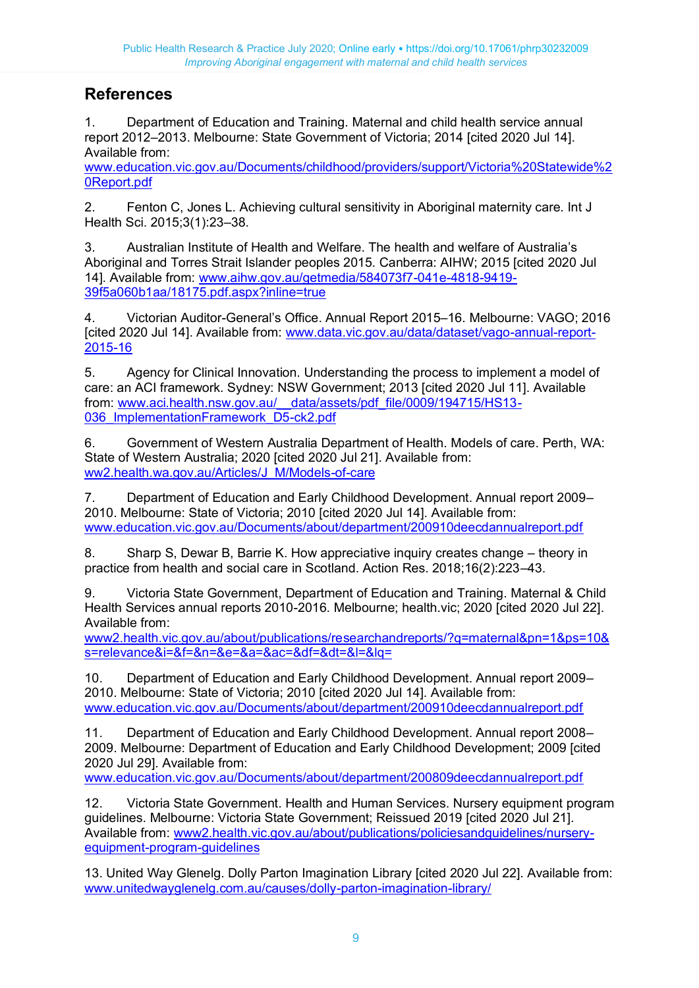# **References**

1. Department of Education and Training. Maternal and child health service annual report 2012–2013. Melbourne: State Government of Victoria; 2014 [cited 2020 Jul 14]. Available from:

[www.education.vic.gov.au/Documents/childhood/providers/support/Victoria%20Statewide%2](http://www.education.vic.gov.au/Documents/childhood/providers/support/Victoria%20Statewide%20Report.pdf) [0Report.pdf](http://www.education.vic.gov.au/Documents/childhood/providers/support/Victoria%20Statewide%20Report.pdf)

2. Fenton C, Jones L. Achieving cultural sensitivity in Aboriginal maternity care. Int J Health Sci. 2015;3(1):23–38.

3. Australian Institute of Health and Welfare. The health and welfare of Australia's Aboriginal and Torres Strait Islander peoples 2015. Canberra: AIHW; 2015 [cited 2020 Jul 14]. Available from: [www.aihw.gov.au/getmedia/584073f7-041e-4818-9419-](http://www.aihw.gov.au/getmedia/584073f7-041e-4818-9419-39f5a060b1aa/18175.pdf.aspx?inline=true) [39f5a060b1aa/18175.pdf.aspx?inline=true](http://www.aihw.gov.au/getmedia/584073f7-041e-4818-9419-39f5a060b1aa/18175.pdf.aspx?inline=true)

4. Victorian Auditor-General's Office. Annual Report 2015–16. Melbourne: VAGO; 2016 [cited 2020 Jul 14]. Available from: [www.data.vic.gov.au/data/dataset/vago-annual-report-](http://www.data.vic.gov.au/data/dataset/vago-annual-report-2015-16)[2015-16](http://www.data.vic.gov.au/data/dataset/vago-annual-report-2015-16)

5. Agency for Clinical Innovation. Understanding the process to implement a model of care: an ACI framework. Sydney: NSW Government; 2013 [cited 2020 Jul 11]. Available from: www.aci.health.nsw.gov.au/ data/assets/pdf\_file/0009/194715/HS13-036 ImplementationFramework D5-ck2.pdf

6. Government of Western Australia Department of Health. Models of care. Perth, WA: State of Western Australia; 2020 [cited 2020 Jul 21]. Available from: [ww2.health.wa.gov.au/Articles/J\\_M/Models-of-care](https://ww2.health.wa.gov.au/Articles/J_M/Models-of-care)

7. Department of Education and Early Childhood Development. Annual report 2009– 2010. Melbourne: State of Victoria; 2010 [cited 2020 Jul 14]. Available from: [www.education.vic.gov.au/Documents/about/department/200910deecdannualreport.pdf](http://www.education.vic.gov.au/Documents/about/department/200910deecdannualreport.pdf)

8. Sharp S, Dewar B, Barrie K. How appreciative inquiry creates change – theory in practice from health and social care in Scotland. Action Res. 2018;16(2):223–43.

9. Victoria State Government, Department of Education and Training. Maternal & Child Health Services annual reports 2010-2016. Melbourne; health.vic; 2020 [cited 2020 Jul 22]. Available from:

[www2.health.vic.gov.au/about/publications/researchandreports/?q=maternal&pn=1&ps=10&](https://www2.health.vic.gov.au/about/publications/researchandreports/?q=maternal&pn=1&ps=10&s=relevance&i=&f=&n=&e=&a=&ac=&df=&dt=&l=&lq=) [s=relevance&i=&f=&n=&e=&a=&ac=&df=&dt=&l=&lq=](https://www2.health.vic.gov.au/about/publications/researchandreports/?q=maternal&pn=1&ps=10&s=relevance&i=&f=&n=&e=&a=&ac=&df=&dt=&l=&lq=)

10. Department of Education and Early Childhood Development. Annual report 2009– 2010. Melbourne: State of Victoria; 2010 [cited 2020 Jul 14]. Available from: [www.education.vic.gov.au/Documents/about/department/200910deecdannualreport.pdf](http://www.education.vic.gov.au/Documents/about/department/200910deecdannualreport.pdf)

11. Department of Education and Early Childhood Development. Annual report 2008– 2009. Melbourne: Department of Education and Early Childhood Development; 2009 [cited 2020 Jul 29]. Available from:

[www.education.vic.gov.au/Documents/about/department/200809deecdannualreport.pdf](http://www.education.vic.gov.au/Documents/about/department/200809deecdannualreport.pdf)

12. Victoria State Government. Health and Human Services. Nursery equipment program guidelines. Melbourne: Victoria State Government; Reissued 2019 [cited 2020 Jul 21]. Available from: [www2.health.vic.gov.au/about/publications/policiesandguidelines/nursery](https://www2.health.vic.gov.au/about/publications/policiesandguidelines/nursery-equipment-program-guidelines)[equipment-program-guidelines](https://www2.health.vic.gov.au/about/publications/policiesandguidelines/nursery-equipment-program-guidelines)

13. United Way Glenelg. Dolly Parton Imagination Library [cited 2020 Jul 22]. Available from: [www.unitedwayglenelg.com.au/causes/dolly-parton-imagination-library/](http://www.unitedwayglenelg.com.au/causes/dolly-parton-imagination-library/)